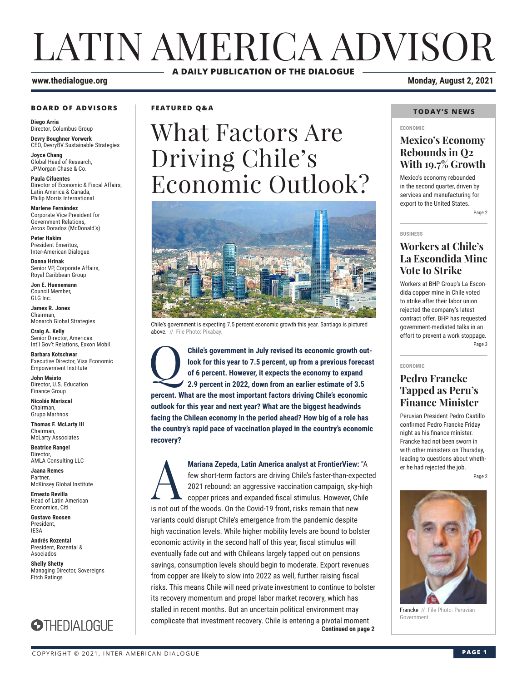# LATIN AMERICA ADVISOR **A DAILY PUBLICATION OF THE DIALOGUE**

#### **www.thedialogue.org Monday, August 2, 2021**

#### **BOARD OF ADVISORS**

**Diego Arria** Director, Columbus Group **Devry Boughner Vorwerk**

CEO, DevryBV Sustainable Strategies **Joyce Chang**

Global Head of Research, JPMorgan Chase & Co.

**Paula Cifuentes** Director of Economic & Fiscal Affairs, Latin America & Canada, Philip Morris International

**Marlene Fernández** Corporate Vice President for Government Relations, Arcos Dorados (McDonald's)

**Peter Hakim** President Emeritus, Inter-American Dialogue

**Donna Hrinak** Senior VP, Corporate Affairs, Royal Caribbean Group

**Jon E. Huenemann** Council Member, GLG Inc.

**James R. Jones** Chairman, Monarch Global Strategies

**Craig A. Kelly** Senior Director, Americas Int'l Gov't Relations, Exxon Mobil

**Barbara Kotschwar** Executive Director, Visa Economic Empowerment Institute

**John Maisto** Director, U.S. Education Finance Group

**Nicolás Mariscal** Chairman, Grupo Marhnos

**Thomas F. McLarty III** Chairman, McLarty Associates

**Beatrice Rangel**  Director, AMLA Consulting LLC

**Jaana Remes Partner** McKinsey Global Institute

**Ernesto Revilla**  Head of Latin American Economics, Citi

**Gustavo Roosen** President, IESA

**Andrés Rozental**  President, Rozental & Asociados

**Shelly Shetty** Managing Director, Sovereigns Fitch Ratings



**FEATURED Q&A**

# What Factors Are Driving Chile's Economic Outlook?



Chile's government is expecting 7.5 percent economic growth this year. Santiago is pictured above. // File Photo: Pixabay

Chile's government in July revised its economic growth out**look for this year to 7.5 percent, up from a previous forecast of 6 percent. However, it expects the economy to expand 2.9 percent in 2022, down from an earlier estimate of 3.5 percent. What are the most important factors driving Chile's economic outlook for this year and next year? What are the biggest headwinds facing the Chilean economy in the period ahead? How big of a role has the country's rapid pace of vaccination played in the country's economic recovery?**

**Continued on page 2 Mariana Zepeda, Latin America analyst at FrontierView: "A<br>few short-term factors are driving Chile's faster-than-expect<br>2021 rebound: an aggressive vaccination campaign, sky-hig<br>copper prices and expanded fiscal stimulus.** few short-term factors are driving Chile's faster-than-expected 2021 rebound: an aggressive vaccination campaign, sky-high copper prices and expanded fiscal stimulus. However, Chile is not out of the woods. On the Covid-19 front, risks remain that new variants could disrupt Chile's emergence from the pandemic despite high vaccination levels. While higher mobility levels are bound to bolster economic activity in the second half of this year, fiscal stimulus will eventually fade out and with Chileans largely tapped out on pensions savings, consumption levels should begin to moderate. Export revenues from copper are likely to slow into 2022 as well, further raising fiscal risks. This means Chile will need private investment to continue to bolster its recovery momentum and propel labor market recovery, which has stalled in recent months. But an uncertain political environment may complicate that investment recovery. Chile is entering a pivotal moment

#### **TODAY'S NEWS**

#### **ECONOMIC**

### **Mexico's Economy Rebounds in Q2 With 19.7% Growth**

Mexico's economy rebounded in the second quarter, driven by services and manufacturing for export to the United States.

Page 2

#### **BUSINESS**

### **Workers at Chile's La Escondida Mine Vote to Strike**

Workers at BHP Group's La Escondida copper mine in Chile voted to strike after their labor union rejected the company's latest contract offer. BHP has requested government-mediated talks in an effort to prevent a work stoppage. Page 3

### **ECONOMIC**

#### **Pedro Francke Tapped as Peru's Finance Minister**

Peruvian President Pedro Castillo confirmed Pedro Francke Friday night as his finance minister. Francke had not been sworn in with other ministers on Thursday, leading to questions about whether he had rejected the job.

Page 2



Francke // File Photo: Peruvian Government.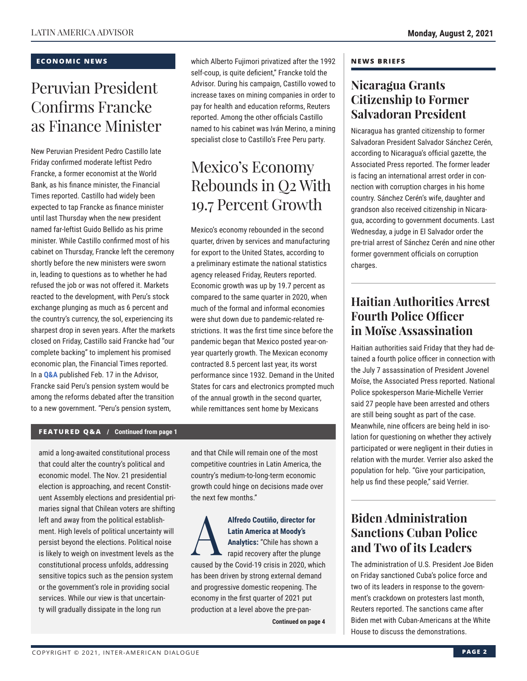#### **ECONOMIC NEWS**

# Peruvian President Confirms Francke as Finance Minister

New Peruvian President Pedro Castillo late Friday confirmed moderate leftist Pedro Francke, a former economist at the World Bank, as his finance minister, the Financial Times reported. Castillo had widely been expected to tap Francke as finance minister until last Thursday when the new president named far-leftist Guido Bellido as his prime minister. While Castillo confirmed most of his cabinet on Thursday, Francke left the ceremony shortly before the new ministers were sworn in, leading to questions as to whether he had refused the job or was not offered it. Markets reacted to the development, with Peru's stock exchange plunging as much as 6 percent and the country's currency, the sol, experiencing its sharpest drop in seven years. After the markets closed on Friday, Castillo said Francke had "our complete backing" to implement his promised economic plan, the Financial Times reported. In a **Q&A** published Feb. 17 in the Advisor, Francke said Peru's pension system would be among the reforms debated after the transition to a new government. "Peru's pension system,

which Alberto Fujimori privatized after the 1992 self-coup, is quite deficient," Francke told the Advisor. During his campaign, Castillo vowed to increase taxes on mining companies in order to pay for health and education reforms, Reuters reported. Among the other officials Castillo named to his cabinet was Iván Merino, a mining specialist close to Castillo's Free Peru party.

# Mexico's Economy Rebounds in Q2 With 19.7 Percent Growth

Mexico's economy rebounded in the second quarter, driven by services and manufacturing for export to the United States, according to a preliminary estimate the national statistics agency released Friday, Reuters reported. Economic growth was up by 19.7 percent as compared to the same quarter in 2020, when much of the formal and informal economies were shut down due to pandemic-related restrictions. It was the first time since before the pandemic began that Mexico posted year-onyear quarterly growth. The Mexican economy contracted 8.5 percent last year, its worst performance since 1932. Demand in the United States for cars and electronics prompted much of the annual growth in the second quarter, while remittances sent home by Mexicans

#### **FEATURED Q&A / Continued from page 1**

amid a long-awaited constitutional process that could alter the country's political and economic model. The Nov. 21 presidential election is approaching, and recent Constituent Assembly elections and presidential primaries signal that Chilean voters are shifting left and away from the political establishment. High levels of political uncertainty will persist beyond the elections. Political noise is likely to weigh on investment levels as the constitutional process unfolds, addressing sensitive topics such as the pension system or the government's role in providing social services. While our view is that uncertainty will gradually dissipate in the long run

and that Chile will remain one of the most competitive countries in Latin America, the country's medium-to-long-term economic growth could hinge on decisions made over the next few months."

Alfredo Coutiño, director for<br>
Latin America at Moody's<br>
Analytics: "Chile has shown a<br>
rapid recovery after the plung<br> **Courd 10 cripid in 2020** wh **Latin America at Moody's Analytics:** "Chile has shown a rapid recovery after the plunge caused by the Covid-19 crisis in 2020, which has been driven by strong external demand and progressive domestic reopening. The economy in the first quarter of 2021 put production at a level above the pre-pan-

**Continued on page 4** 

#### **NEWS BRIEFS**

### **Nicaragua Grants Citizenship to Former Salvadoran President**

Nicaragua has granted citizenship to former Salvadoran President Salvador Sánchez Cerén, according to Nicaragua's official gazette, the Associated Press reported. The former leader is facing an international arrest order in connection with corruption charges in his home country. Sánchez Cerén's wife, daughter and grandson also received citizenship in Nicaragua, according to government documents. Last Wednesday, a judge in El Salvador order the pre-trial arrest of Sánchez Cerén and nine other former government officials on corruption charges.

## **Haitian Authorities Arrest Fourth Police Officer in Moïse Assassination**

Haitian authorities said Friday that they had detained a fourth police officer in connection with the July 7 assassination of President Jovenel Moïse, the Associated Press reported. National Police spokesperson Marie-Michelle Verrier said 27 people have been arrested and others are still being sought as part of the case. Meanwhile, nine officers are being held in isolation for questioning on whether they actively participated or were negligent in their duties in relation with the murder. Verrier also asked the population for help. "Give your participation, help us find these people," said Verrier.

## **Biden Administration Sanctions Cuban Police and Two of its Leaders**

The administration of U.S. President Joe Biden on Friday sanctioned Cuba's police force and two of its leaders in response to the government's crackdown on protesters last month, Reuters reported. The sanctions came after Biden met with Cuban-Americans at the White House to discuss the demonstrations.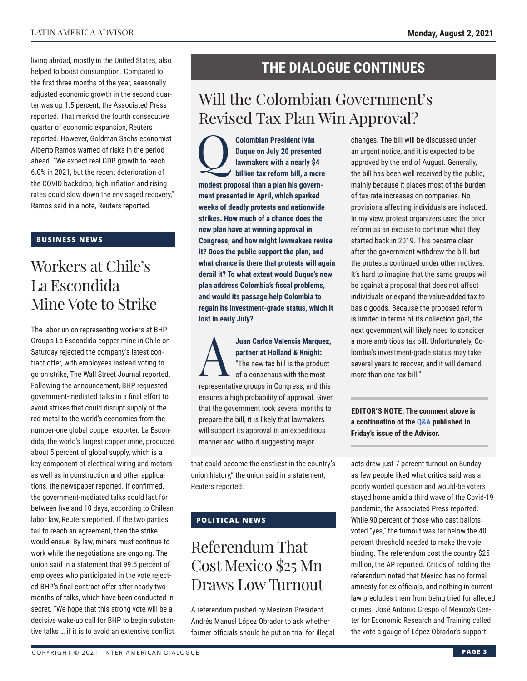living abroad, mostly in the United States, also helped to boost consumption. Compared to the first three months of the year, seasonally adjusted economic growth in the second quarter was up 1.5 percent, the Associated Press reported. That marked the fourth consecutive quarter of economic expansion, Reuters reported. However, Goldman Sachs economist Alberto Ramos warned of risks in the period ahead. "We expect real GDP growth to reach 6.0% in 2021, but the recent deterioration of the COVID backdrop, high inflation and rising rates could slow down the envisaged recovery," Ramos said in a note, Reuters reported.

#### **BUSINESS NEWS**

# Workers at Chile's La Escondida Mine Vote to Strike

The labor union representing workers at BHP Group's La Escondida copper mine in Chile on Saturday rejected the company's latest contract offer, with employees instead voting to go on strike, The Wall Street Journal reported. Following the announcement, BHP requested government-mediated talks in a final effort to avoid strikes that could disrupt supply of the red metal to the world's economies from the number-one global copper exporter. La Escondida, the world's largest copper mine, produced about 5 percent of global supply, which is a key component of electrical wiring and motors as well as in construction and other applications, the newspaper reported. If confirmed, the government-mediated talks could last for between five and 10 days, according to Chilean labor law, Reuters reported. If the two parties fail to reach an agreement, then the strike would ensue. By law, miners must continue to work while the negotiations are ongoing. The union said in a statement that 99.5 percent of employees who participated in the vote rejected BHP's final contract offer after nearly two months of talks, which have been conducted in secret. "We hope that this strong vote will be a decisive wake-up call for BHP to begin substantive talks … if it is to avoid an extensive conflict

## **THE DIALOGUE CONTINUES**

# Will the Colombian Government's Revised Tax Plan Win Approval?

**Colombian President Iván<br>
Duque on July 20 presente<br>
lawmakers with a nearly \$<br>
billion tax reform bill, a mo Duque on July 20 presented lawmakers with a nearly \$4 billion tax reform bill, a more modest proposal than a plan his government presented in April, which sparked weeks of deadly protests and nationwide strikes. How much of a chance does the new plan have at winning approval in Congress, and how might lawmakers revise it? Does the public support the plan, and what chance is there that protests will again derail it? To what extent would Duque's new plan address Colombia's fiscal problems, and would its passage help Colombia to regain its investment-grade status, which it lost in early July?**

Juan Carlos Valencia Marquez,<br>
partner at Holland & Knight:<br>
"The new tax bill is the product<br>
of a consensus with the most<br> **EXECUTE: partner at Holland & Knight:** "The new tax bill is the product of a consensus with the most representative groups in Congress, and this ensures a high probability of approval. Given that the government took several months to prepare the bill, it is likely that lawmakers will support its approval in an expeditious manner and without suggesting major

that could become the costliest in the country's union history," the union said in a statement, Reuters reported.

### **POLITICAL NEWS**

# Referendum That Cost Mexico \$25 Mn Draws Low Turnout

A referendum pushed by Mexican President Andrés Manuel López Obrador to ask whether former officials should be put on trial for illegal changes. The bill will be discussed under an urgent notice, and it is expected to be approved by the end of August. Generally, the bill has been well received by the public, mainly because it places most of the burden of tax rate increases on companies. No provisions affecting individuals are included. In my view, protest organizers used the prior reform as an excuse to continue what they started back in 2019. This became clear after the government withdrew the bill, but the protests continued under other motives. It's hard to imagine that the same groups will be against a proposal that does not affect individuals or expand the value-added tax to basic goods. Because the proposed reform is limited in terms of its collection goal, the next government will likely need to consider a more ambitious tax bill. Unfortunately, Colombia's investment-grade status may take several years to recover, and it will demand more than one tax bill."

**EDITOR'S NOTE: The comment above is a continuation of t[he Q&A pub](http://www.thedialogue.org/wp-content/uploads/2021/07/LAA210730.pdf)lished in Friday's issue of the Advisor.**

acts drew just 7 percent turnout on Sunday as few people liked what critics said was a poorly worded question and would-be voters stayed home amid a third wave of the Covid-19 pandemic, the Associated Press reported. While 90 percent of those who cast ballots voted "yes," the turnout was far below the 40 percent threshold needed to make the vote binding. The referendum cost the country \$25 million, the AP reported. Critics of holding the referendum noted that Mexico has no formal amnesty for ex-officials, and nothing in current law precludes them from being tried for alleged crimes. José Antonio Crespo of Mexico's Center for Economic Research and Training called the vote a gauge of López Obrador's support.